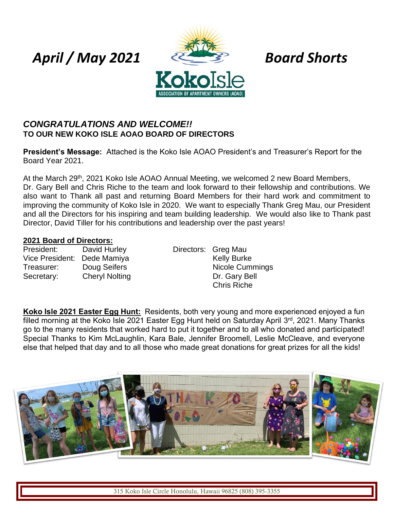# *April / May 2021 Board Shorts*



## *CONGRATULATIONS AND WELCOME!!* **TO OUR NEW KOKO ISLE AOAO BOARD OF DIRECTORS**

**President's Message:** Attached is the Koko Isle AOAO President's and Treasurer's Report for the Board Year 2021.

At the March 29<sup>th</sup>, 2021 Koko Isle AOAO Annual Meeting, we welcomed 2 new Board Members, Dr. Gary Bell and Chris Riche to the team and look forward to their fellowship and contributions. We also want to Thank all past and returning Board Members for their hard work and commitment to improving the community of Koko Isle in 2020. We want to especially Thank Greg Mau, our President and all the Directors for his inspiring and team building leadership. We would also like to Thank past Director, David Tiller for his contributions and leadership over the past years!

#### **2021 Board of Directors:**

President: David Hurley Directors: Greg Mau Vice President: Dede Mamiya **Kelly Burke** Treasurer: Doug Seifers Nicole Cummings Secretary: Cheryl Nolting Contract Control Dr. Gary Bell

Chris Riche

**Koko Isle 2021 Easter Egg Hunt:** Residents, both very young and more experienced enjoyed a fun filled morning at the Koko Isle 2021 Easter Egg Hunt held on Saturday April 3<sup>rd</sup>, 2021. Many Thanks go to the many residents that worked hard to put it together and to all who donated and participated! Special Thanks to Kim McLaughlin, Kara Bale, Jennifer Broomell, Leslie McCleave, and everyone else that helped that day and to all those who made great donations for great prizes for all the kids!

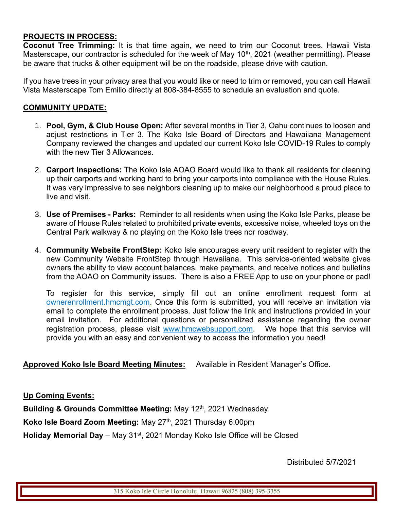### **PROJECTS IN PROCESS:**

**Coconut Tree Trimming:** It is that time again, we need to trim our Coconut trees. Hawaii Vista Masterscape, our contractor is scheduled for the week of May 10<sup>th</sup>, 2021 (weather permitting). Please be aware that trucks & other equipment will be on the roadside, please drive with caution.

If you have trees in your privacy area that you would like or need to trim or removed, you can call Hawaii Vista Masterscape Tom Emilio directly at 808-384-8555 to schedule an evaluation and quote.

#### **COMMUNITY UPDATE:**

- 1. **Pool, Gym, & Club House Open:** After several months in Tier 3, Oahu continues to loosen and adjust restrictions in Tier 3. The Koko Isle Board of Directors and Hawaiiana Management Company reviewed the changes and updated our current Koko Isle COVID-19 Rules to comply with the new Tier 3 Allowances.
- 2. **Carport Inspections:** The Koko Isle AOAO Board would like to thank all residents for cleaning up their carports and working hard to bring your carports into compliance with the House Rules. It was very impressive to see neighbors cleaning up to make our neighborhood a proud place to live and visit.
- 3. **Use of Premises - Parks:** Reminder to all residents when using the Koko Isle Parks, please be aware of House Rules related to prohibited private events, excessive noise, wheeled toys on the Central Park walkway & no playing on the Koko Isle trees nor roadway.
- 4. **Community Website FrontStep:** Koko Isle encourages every unit resident to register with the new Community Website FrontStep through Hawaiiana. This service-oriented website gives owners the ability to view account balances, make payments, and receive notices and bulletins from the AOAO on Community issues. There is also a FREE App to use on your phone or pad!

To register for this service, simply fill out an online enrollment request form at ownerenrollment.hmcmgt.com. Once this form is submitted, you will receive an invitation via email to complete the enrollment process. Just follow the link and instructions provided in your email invitation. For additional questions or personalized assistance regarding the owner registration process, please visit www.hmcwebsupport.com. We hope that this service will provide you with an easy and convenient way to access the information you need!

#### **Approved Koko Isle Board Meeting Minutes:** Available in Resident Manager's Office.

**Up Coming Events:** 

Building & Grounds Committee Meeting: May 12<sup>th</sup>, 2021 Wednesday

**Koko Isle Board Zoom Meeting: May 27<sup>th</sup>, 2021 Thursday 6:00pm** 

**Holiday Memorial Day** – May 31<sup>st</sup>, 2021 Monday Koko Isle Office will be Closed

Distributed 5/7/2021

315 Koko Isle Circle Honolulu, Hawaii 96825 (808) 395-3355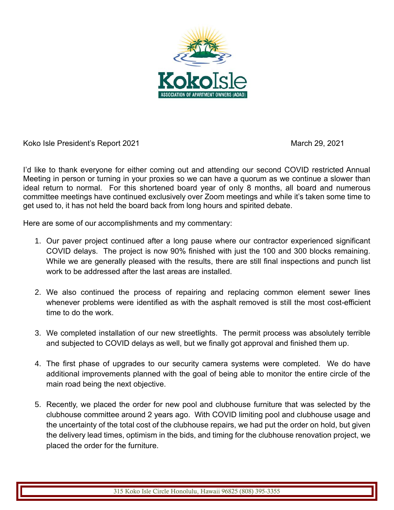

Koko Isle President's Report 2021 March 29, 2021

I'd like to thank everyone for either coming out and attending our second COVID restricted Annual Meeting in person or turning in your proxies so we can have a quorum as we continue a slower than ideal return to normal. For this shortened board year of only 8 months, all board and numerous committee meetings have continued exclusively over Zoom meetings and while it's taken some time to get used to, it has not held the board back from long hours and spirited debate.

Here are some of our accomplishments and my commentary:

- 1. Our paver project continued after a long pause where our contractor experienced significant COVID delays. The project is now 90% finished with just the 100 and 300 blocks remaining. While we are generally pleased with the results, there are still final inspections and punch list work to be addressed after the last areas are installed.
- 2. We also continued the process of repairing and replacing common element sewer lines whenever problems were identified as with the asphalt removed is still the most cost-efficient time to do the work.
- 3. We completed installation of our new streetlights. The permit process was absolutely terrible and subjected to COVID delays as well, but we finally got approval and finished them up.
- 4. The first phase of upgrades to our security camera systems were completed. We do have additional improvements planned with the goal of being able to monitor the entire circle of the main road being the next objective.
- 5. Recently, we placed the order for new pool and clubhouse furniture that was selected by the clubhouse committee around 2 years ago. With COVID limiting pool and clubhouse usage and the uncertainty of the total cost of the clubhouse repairs, we had put the order on hold, but given the delivery lead times, optimism in the bids, and timing for the clubhouse renovation project, we placed the order for the furniture.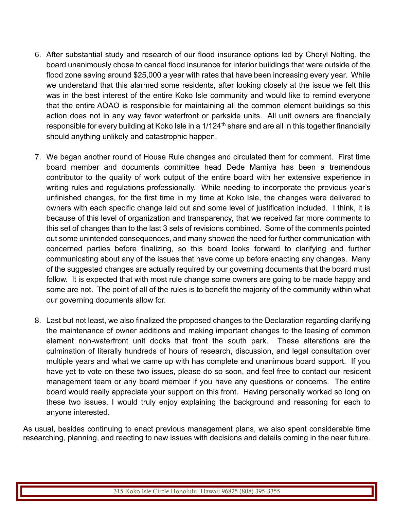- 6. After substantial study and research of our flood insurance options led by Cheryl Nolting, the board unanimously chose to cancel flood insurance for interior buildings that were outside of the flood zone saving around \$25,000 a year with rates that have been increasing every year. While we understand that this alarmed some residents, after looking closely at the issue we felt this was in the best interest of the entire Koko Isle community and would like to remind everyone that the entire AOAO is responsible for maintaining all the common element buildings so this action does not in any way favor waterfront or parkside units. All unit owners are financially responsible for every building at Koko Isle in a 1/124<sup>th</sup> share and are all in this together financially should anything unlikely and catastrophic happen.
- 7. We began another round of House Rule changes and circulated them for comment. First time board member and documents committee head Dede Mamiya has been a tremendous contributor to the quality of work output of the entire board with her extensive experience in writing rules and regulations professionally. While needing to incorporate the previous year's unfinished changes, for the first time in my time at Koko Isle, the changes were delivered to owners with each specific change laid out and some level of justification included. I think, it is because of this level of organization and transparency, that we received far more comments to this set of changes than to the last 3 sets of revisions combined. Some of the comments pointed out some unintended consequences, and many showed the need for further communication with concerned parties before finalizing, so this board looks forward to clarifying and further communicating about any of the issues that have come up before enacting any changes. Many of the suggested changes are actually required by our governing documents that the board must follow. It is expected that with most rule change some owners are going to be made happy and some are not. The point of all of the rules is to benefit the majority of the community within what our governing documents allow for.
- 8. Last but not least, we also finalized the proposed changes to the Declaration regarding clarifying the maintenance of owner additions and making important changes to the leasing of common element non-waterfront unit docks that front the south park. These alterations are the culmination of literally hundreds of hours of research, discussion, and legal consultation over multiple years and what we came up with has complete and unanimous board support. If you have yet to vote on these two issues, please do so soon, and feel free to contact our resident management team or any board member if you have any questions or concerns. The entire board would really appreciate your support on this front. Having personally worked so long on these two issues, I would truly enjoy explaining the background and reasoning for each to anyone interested.

As usual, besides continuing to enact previous management plans, we also spent considerable time researching, planning, and reacting to new issues with decisions and details coming in the near future.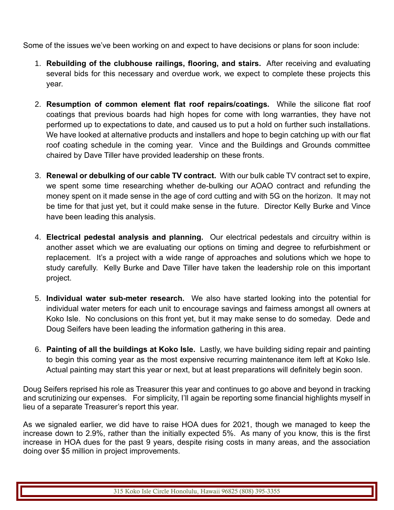Some of the issues we've been working on and expect to have decisions or plans for soon include:

- 1. **Rebuilding of the clubhouse railings, flooring, and stairs.** After receiving and evaluating several bids for this necessary and overdue work, we expect to complete these projects this year.
- 2. **Resumption of common element flat roof repairs/coatings.** While the silicone flat roof coatings that previous boards had high hopes for come with long warranties, they have not performed up to expectations to date, and caused us to put a hold on further such installations. We have looked at alternative products and installers and hope to begin catching up with our flat roof coating schedule in the coming year. Vince and the Buildings and Grounds committee chaired by Dave Tiller have provided leadership on these fronts.
- 3. **Renewal or debulking of our cable TV contract.** With our bulk cable TV contract set to expire, we spent some time researching whether de-bulking our AOAO contract and refunding the money spent on it made sense in the age of cord cutting and with 5G on the horizon. It may not be time for that just yet, but it could make sense in the future. Director Kelly Burke and Vince have been leading this analysis.
- 4. **Electrical pedestal analysis and planning.** Our electrical pedestals and circuitry within is another asset which we are evaluating our options on timing and degree to refurbishment or replacement. It's a project with a wide range of approaches and solutions which we hope to study carefully. Kelly Burke and Dave Tiller have taken the leadership role on this important project.
- 5. **Individual water sub-meter research.** We also have started looking into the potential for individual water meters for each unit to encourage savings and fairness amongst all owners at Koko Isle. No conclusions on this front yet, but it may make sense to do someday. Dede and Doug Seifers have been leading the information gathering in this area.
- 6. **Painting of all the buildings at Koko Isle.** Lastly, we have building siding repair and painting to begin this coming year as the most expensive recurring maintenance item left at Koko Isle. Actual painting may start this year or next, but at least preparations will definitely begin soon.

Doug Seifers reprised his role as Treasurer this year and continues to go above and beyond in tracking and scrutinizing our expenses. For simplicity, I'll again be reporting some financial highlights myself in lieu of a separate Treasurer's report this year.

As we signaled earlier, we did have to raise HOA dues for 2021, though we managed to keep the increase down to 2.9%, rather than the initially expected 5%. As many of you know, this is the first increase in HOA dues for the past 9 years, despite rising costs in many areas, and the association doing over \$5 million in project improvements.